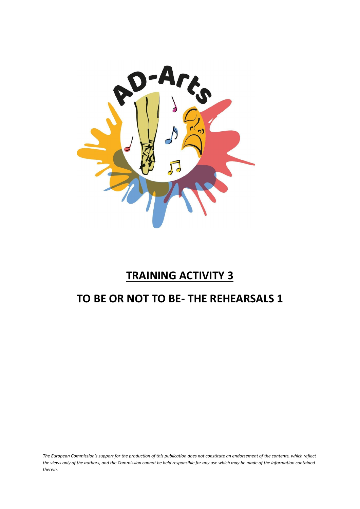

# **TRAINING ACTIVITY 3**

# **TO BE OR NOT TO BE- THE REHEARSALS 1**

*The European Commission's support for the production of this publication does not constitute an endorsement of the contents, which reflect the views only of the authors, and the Commission cannot be held responsible for any use which may be made of the information contained therein.*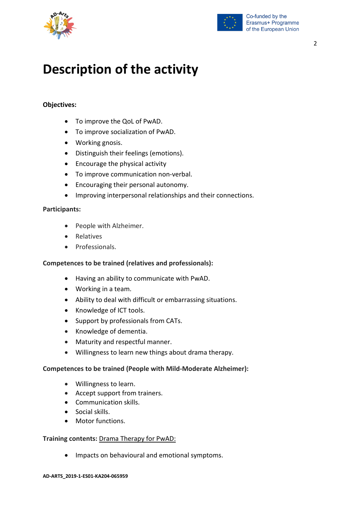



# **Description of the activity**

## **Objectives:**

- To improve the QoL of PwAD.
- To improve socialization of PwAD.
- Working gnosis.
- Distinguish their feelings (emotions).
- Encourage the physical activity
- To improve communication non-verbal.
- Encouraging their personal autonomy.
- Improving interpersonal relationships and their connections.

#### **Participants:**

- People with Alzheimer.
- Relatives
- Professionals.

### **Competences to be trained (relatives and professionals):**

- Having an ability to communicate with PwAD.
- Working in a team.
- Ability to deal with difficult or embarrassing situations.
- Knowledge of ICT tools.
- Support by professionals from CATs.
- Knowledge of dementia.
- Maturity and respectful manner.
- Willingness to learn new things about drama therapy.

#### **Competences to be trained (People with Mild-Moderate Alzheimer):**

- Willingness to learn.
- Accept support from trainers.
- Communication skills.
- Social skills.
- Motor functions.

#### **Training contents:** Drama Therapy for PwAD:

• Impacts on behavioural and emotional symptoms.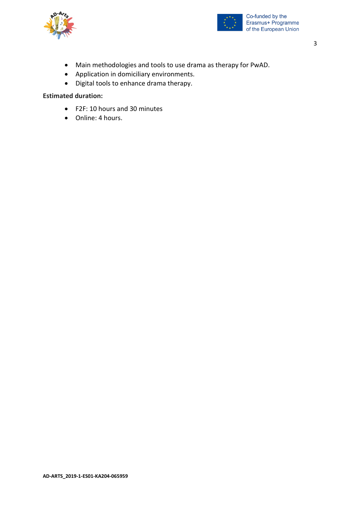



- Main methodologies and tools to use drama as therapy for PwAD.
- Application in domiciliary environments.
- Digital tools to enhance drama therapy.

## **Estimated duration:**

- F2F: 10 hours and 30 minutes
- Online: 4 hours.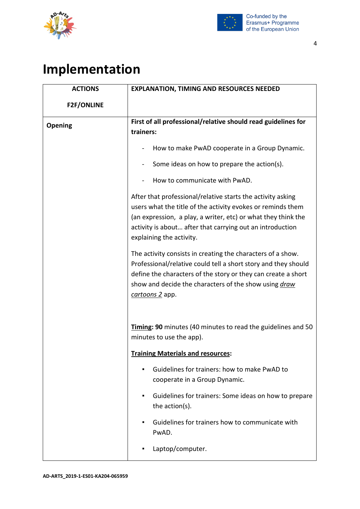



## 4

# **Implementation**

| <b>ACTIONS</b>    | <b>EXPLANATION, TIMING AND RESOURCES NEEDED</b>                                                                                                                                                                                                                                      |
|-------------------|--------------------------------------------------------------------------------------------------------------------------------------------------------------------------------------------------------------------------------------------------------------------------------------|
| <b>F2F/ONLINE</b> |                                                                                                                                                                                                                                                                                      |
| Opening           | First of all professional/relative should read guidelines for<br>trainers:                                                                                                                                                                                                           |
|                   | How to make PwAD cooperate in a Group Dynamic.                                                                                                                                                                                                                                       |
|                   | Some ideas on how to prepare the action(s).                                                                                                                                                                                                                                          |
|                   | How to communicate with PwAD.                                                                                                                                                                                                                                                        |
|                   | After that professional/relative starts the activity asking<br>users what the title of the activity evokes or reminds them<br>(an expression, a play, a writer, etc) or what they think the<br>activity is about after that carrying out an introduction<br>explaining the activity. |
|                   | The activity consists in creating the characters of a show.<br>Professional/relative could tell a short story and they should<br>define the characters of the story or they can create a short<br>show and decide the characters of the show using <i>draw</i><br>cartoons 2 app.    |
|                   | Timing: 90 minutes (40 minutes to read the guidelines and 50<br>minutes to use the app).                                                                                                                                                                                             |
|                   | <b>Training Materials and resources:</b>                                                                                                                                                                                                                                             |
|                   | Guidelines for trainers: how to make PwAD to<br>cooperate in a Group Dynamic.                                                                                                                                                                                                        |
|                   | Guidelines for trainers: Some ideas on how to prepare<br>٠<br>the action(s).                                                                                                                                                                                                         |
|                   | Guidelines for trainers how to communicate with<br>٠<br>PwAD.                                                                                                                                                                                                                        |
|                   | Laptop/computer.                                                                                                                                                                                                                                                                     |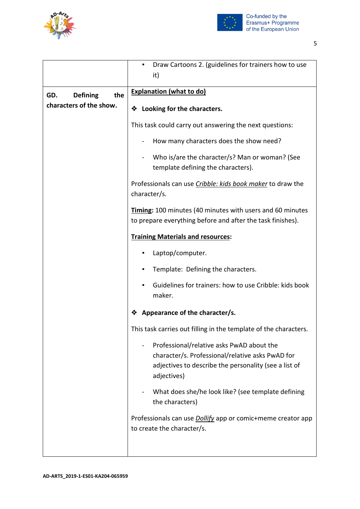



|                               | Draw Cartoons 2. (guidelines for trainers how to use<br>٠<br>it)                                                                                                      |
|-------------------------------|-----------------------------------------------------------------------------------------------------------------------------------------------------------------------|
| the<br>GD.<br><b>Defining</b> | <b>Explanation (what to do)</b>                                                                                                                                       |
| characters of the show.       | ❖ Looking for the characters.                                                                                                                                         |
|                               | This task could carry out answering the next questions:                                                                                                               |
|                               | How many characters does the show need?                                                                                                                               |
|                               | Who is/are the character/s? Man or woman? (See<br>template defining the characters).                                                                                  |
|                               | Professionals can use Cribble: kids book maker to draw the<br>character/s.                                                                                            |
|                               | <b>Timing:</b> 100 minutes (40 minutes with users and 60 minutes<br>to prepare everything before and after the task finishes).                                        |
|                               | <b>Training Materials and resources:</b>                                                                                                                              |
|                               | Laptop/computer.                                                                                                                                                      |
|                               | Template: Defining the characters.                                                                                                                                    |
|                               | Guidelines for trainers: how to use Cribble: kids book<br>maker.                                                                                                      |
|                               | Appearance of the character/s.<br>❖                                                                                                                                   |
|                               | This task carries out filling in the template of the characters.                                                                                                      |
|                               | Professional/relative asks PwAD about the<br>character/s. Professional/relative asks PwAD for<br>adjectives to describe the personality (see a list of<br>adjectives) |
|                               | What does she/he look like? (see template defining<br>the characters)                                                                                                 |
|                               | Professionals can use <i>Dollify</i> app or comic+meme creator app<br>to create the character/s.                                                                      |
|                               |                                                                                                                                                                       |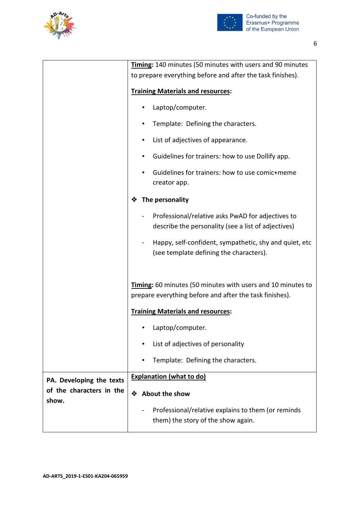



|                                   | Timing: 140 minutes (50 minutes with users and 90 minutes                                                                     |
|-----------------------------------|-------------------------------------------------------------------------------------------------------------------------------|
|                                   | to prepare everything before and after the task finishes).                                                                    |
|                                   | <b>Training Materials and resources:</b>                                                                                      |
|                                   | Laptop/computer.                                                                                                              |
|                                   | Template: Defining the characters.                                                                                            |
|                                   | List of adjectives of appearance.<br>٠                                                                                        |
|                                   | Guidelines for trainers: how to use Dollify app.<br>п                                                                         |
|                                   | Guidelines for trainers: how to use comic+meme<br>creator app.                                                                |
|                                   | The personality                                                                                                               |
|                                   | Professional/relative asks PwAD for adjectives to<br>describe the personality (see a list of adjectives)                      |
|                                   | Happy, self-confident, sympathetic, shy and quiet, etc<br>(see template defining the characters).                             |
|                                   | <b>Timing:</b> 60 minutes (50 minutes with users and 10 minutes to<br>prepare everything before and after the task finishes). |
|                                   | <b>Training Materials and resources:</b>                                                                                      |
|                                   | Laptop/computer.                                                                                                              |
|                                   | List of adjectives of personality<br>п                                                                                        |
|                                   | Template: Defining the characters.<br>٠                                                                                       |
| PA. Developing the texts          | <b>Explanation (what to do)</b>                                                                                               |
| of the characters in the<br>show. | About the show<br>❖                                                                                                           |
|                                   | Professional/relative explains to them (or reminds<br>them) the story of the show again.                                      |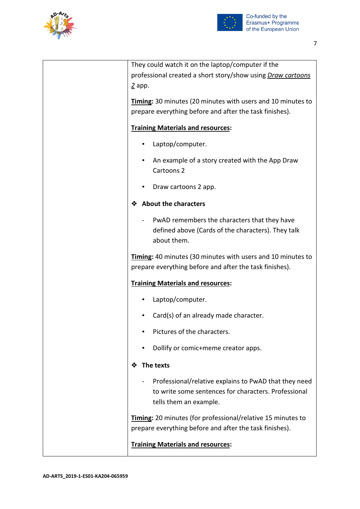



| They could watch it on the laptop/computer if the                                                                             |
|-------------------------------------------------------------------------------------------------------------------------------|
| professional created a short story/show using Draw cartoons                                                                   |
| $\frac{2}{ }$ app.                                                                                                            |
| Timing: 30 minutes (20 minutes with users and 10 minutes to                                                                   |
| prepare everything before and after the task finishes).                                                                       |
|                                                                                                                               |
| <b>Training Materials and resources:</b>                                                                                      |
| Laptop/computer.<br>٠                                                                                                         |
| An example of a story created with the App Draw<br>Cartoons <sub>2</sub>                                                      |
| Draw cartoons 2 app.                                                                                                          |
| <b>About the characters</b><br>❖                                                                                              |
| PwAD remembers the characters that they have                                                                                  |
| defined above (Cards of the characters). They talk                                                                            |
| about them.                                                                                                                   |
| <b>Timing:</b> 40 minutes (30 minutes with users and 10 minutes to<br>prepare everything before and after the task finishes). |
| <b>Training Materials and resources:</b>                                                                                      |
| Laptop/computer.<br>٠                                                                                                         |
| Card(s) of an already made character.                                                                                         |
| Pictures of the characters.                                                                                                   |
| Dollify or comic+meme creator apps.                                                                                           |
| The texts<br>❖                                                                                                                |
| Professional/relative explains to PwAD that they need                                                                         |
| to write some sentences for characters. Professional                                                                          |
| tells them an example.                                                                                                        |
| Timing: 20 minutes (for professional/relative 15 minutes to                                                                   |
| prepare everything before and after the task finishes).                                                                       |
|                                                                                                                               |
| <b>Training Materials and resources:</b>                                                                                      |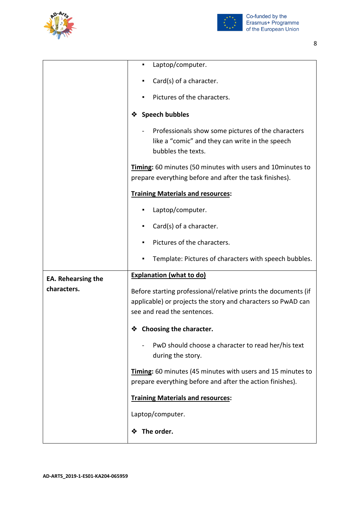



|                           | Laptop/computer.<br>٠                                                                                                                                         |
|---------------------------|---------------------------------------------------------------------------------------------------------------------------------------------------------------|
|                           | Card(s) of a character.                                                                                                                                       |
|                           | Pictures of the characters.                                                                                                                                   |
|                           | <b>Speech bubbles</b><br>❖                                                                                                                                    |
|                           | Professionals show some pictures of the characters<br>like a "comic" and they can write in the speech<br>bubbles the texts.                                   |
|                           | Timing: 60 minutes (50 minutes with users and 10 minutes to<br>prepare everything before and after the task finishes).                                        |
|                           | <b>Training Materials and resources:</b>                                                                                                                      |
|                           | Laptop/computer.                                                                                                                                              |
|                           | Card(s) of a character.                                                                                                                                       |
|                           | Pictures of the characters.                                                                                                                                   |
|                           | Template: Pictures of characters with speech bubbles.                                                                                                         |
| <b>EA. Rehearsing the</b> | <b>Explanation (what to do)</b>                                                                                                                               |
| characters.               | Before starting professional/relative prints the documents (if<br>applicable) or projects the story and characters so PwAD can<br>see and read the sentences. |
|                           | Choosing the character.<br>❖                                                                                                                                  |
|                           | PwD should choose a character to read her/his text<br>during the story.                                                                                       |
|                           | Timing: 60 minutes (45 minutes with users and 15 minutes to<br>prepare everything before and after the action finishes).                                      |
|                           | <b>Training Materials and resources:</b>                                                                                                                      |
|                           | Laptop/computer.                                                                                                                                              |
|                           | The order.<br>❖                                                                                                                                               |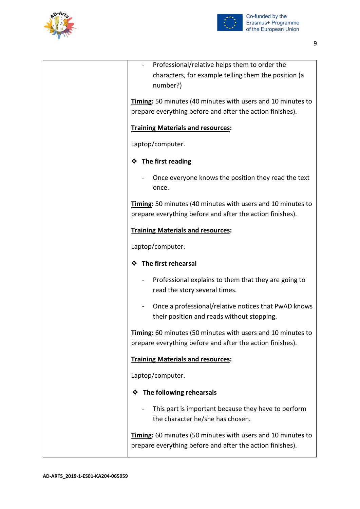



| Professional/relative helps them to order the                                                                                   |
|---------------------------------------------------------------------------------------------------------------------------------|
| characters, for example telling them the position (a                                                                            |
| number?)                                                                                                                        |
| <b>Timing:</b> 50 minutes (40 minutes with users and 10 minutes to                                                              |
| prepare everything before and after the action finishes).                                                                       |
|                                                                                                                                 |
| <b>Training Materials and resources:</b>                                                                                        |
| Laptop/computer.                                                                                                                |
| ❖ The first reading                                                                                                             |
| Once everyone knows the position they read the text<br>once.                                                                    |
|                                                                                                                                 |
| <b>Timing:</b> 50 minutes (40 minutes with users and 10 minutes to<br>prepare everything before and after the action finishes). |
|                                                                                                                                 |
| <b>Training Materials and resources:</b>                                                                                        |
| Laptop/computer.                                                                                                                |
| The first rehearsal<br>❖                                                                                                        |
| Professional explains to them that they are going to<br>read the story several times.                                           |
| Once a professional/relative notices that PwAD knows<br>their position and reads without stopping.                              |
| <b>Timing:</b> 60 minutes (50 minutes with users and 10 minutes to<br>prepare everything before and after the action finishes). |
| <b>Training Materials and resources:</b>                                                                                        |
| Laptop/computer.                                                                                                                |
| The following rehearsals<br>❖                                                                                                   |
| This part is important because they have to perform<br>the character he/she has chosen.                                         |
| Timing: 60 minutes (50 minutes with users and 10 minutes to<br>prepare everything before and after the action finishes).        |
|                                                                                                                                 |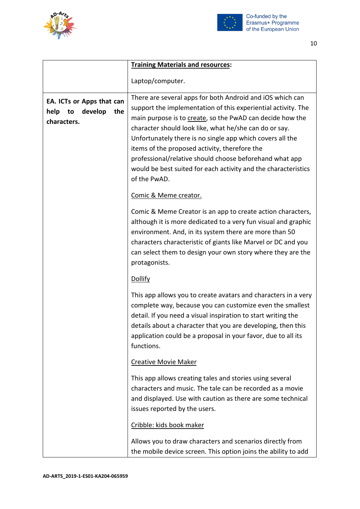



|                                                                          | <b>Training Materials and resources:</b>                                                                                                                                                                                                                                                                                                                                                                                                                                                                     |
|--------------------------------------------------------------------------|--------------------------------------------------------------------------------------------------------------------------------------------------------------------------------------------------------------------------------------------------------------------------------------------------------------------------------------------------------------------------------------------------------------------------------------------------------------------------------------------------------------|
|                                                                          | Laptop/computer.                                                                                                                                                                                                                                                                                                                                                                                                                                                                                             |
| EA. ICTs or Apps that can<br>help<br>develop<br>the<br>to<br>characters. | There are several apps for both Android and iOS which can<br>support the implementation of this experiential activity. The<br>main purpose is to create, so the PwAD can decide how the<br>character should look like, what he/she can do or say.<br>Unfortunately there is no single app which covers all the<br>items of the proposed activity, therefore the<br>professional/relative should choose beforehand what app<br>would be best suited for each activity and the characteristics<br>of the PwAD. |
|                                                                          | Comic & Meme creator.                                                                                                                                                                                                                                                                                                                                                                                                                                                                                        |
|                                                                          | Comic & Meme Creator is an app to create action characters,<br>although it is more dedicated to a very fun visual and graphic<br>environment. And, in its system there are more than 50<br>characters characteristic of giants like Marvel or DC and you<br>can select them to design your own story where they are the<br>protagonists.                                                                                                                                                                     |
|                                                                          | <b>Dollify</b>                                                                                                                                                                                                                                                                                                                                                                                                                                                                                               |
|                                                                          | This app allows you to create avatars and characters in a very<br>complete way, because you can customize even the smallest<br>detail. If you need a visual inspiration to start writing the<br>details about a character that you are developing, then this<br>application could be a proposal in your favor, due to all its<br>functions.                                                                                                                                                                  |
|                                                                          | <b>Creative Movie Maker</b>                                                                                                                                                                                                                                                                                                                                                                                                                                                                                  |
|                                                                          | This app allows creating tales and stories using several<br>characters and music. The tale can be recorded as a movie<br>and displayed. Use with caution as there are some technical<br>issues reported by the users.                                                                                                                                                                                                                                                                                        |
|                                                                          | Cribble: kids book maker                                                                                                                                                                                                                                                                                                                                                                                                                                                                                     |
|                                                                          | Allows you to draw characters and scenarios directly from<br>the mobile device screen. This option joins the ability to add                                                                                                                                                                                                                                                                                                                                                                                  |